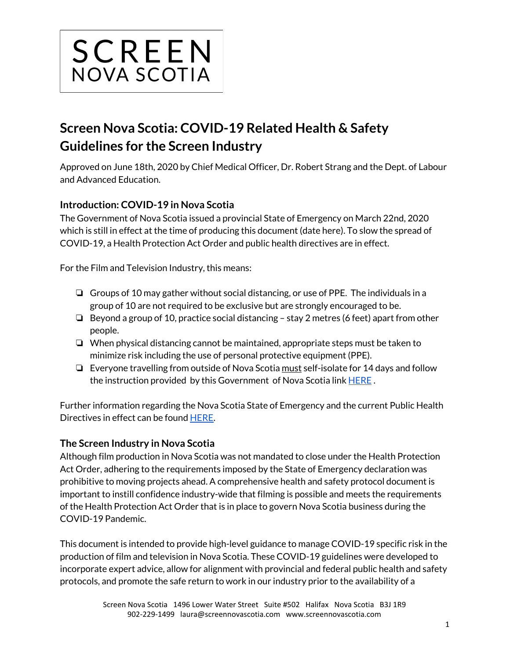

# **Screen Nova Scotia: COVID-19 Related Health & Safety Guidelines for the Screen Industry**

Approved on June 18th, 2020 by Chief Medical Officer, Dr. Robert Strang and the Dept. of Labour and Advanced Education.

# **Introduction: COVID-19 in Nova Scotia**

The Government of Nova Scotia issued a provincial State of Emergency on March 22nd, 2020 which is still in effect at the time of producing this document (date here). To slow the spread of COVID-19, a Health Protection Act Order and public health directives are in effect.

For the Film and Television Industry, this means:

- ❏ Groups of 10 may gather without social distancing, or use of PPE. The individuals in a group of 10 are not required to be exclusive but are strongly encouraged to be.
- ❏ Beyond a group of 10, practice social distancing stay 2 metres (6 feet) apart from other people.
- ❏ When physical distancing cannot be maintained, appropriate steps must be taken to minimize risk including the use of personal protective equipment (PPE).
- ❏ Everyone travelling from outside of Nova Scotia must self-isolate for 14 days and follow the instruction provided by this Government of Nova Scotia link [HERE](https://novascotia.ca/coronavirus/docs/Self-Isolation-Information-for-Travellers-EN.pdf) .

Further information regarding the Nova Scotia State of Emergency and the current Public Health Directives in effect can be found [HERE](https://novascotia.ca/coronavirus/alerts-notices/#provincial-state-emergency).

#### **The Screen Industry in Nova Scotia**

Although film production in Nova Scotia was not mandated to close under the Health Protection Act Order, adhering to the requirements imposed by the State of Emergency declaration was prohibitive to moving projects ahead. A comprehensive health and safety protocol document is important to instill confidence industry-wide that filming is possible and meets the requirements of the Health Protection Act Order that is in place to govern Nova Scotia business during the COVID-19 Pandemic.

This document is intended to provide high-level guidance to manage COVID-19 specific risk in the production of film and television in Nova Scotia. These COVID-19 guidelines were developed to incorporate expert advice, allow for alignment with provincial and federal public health and safety protocols, and promote the safe return to work in our industry prior to the availability of a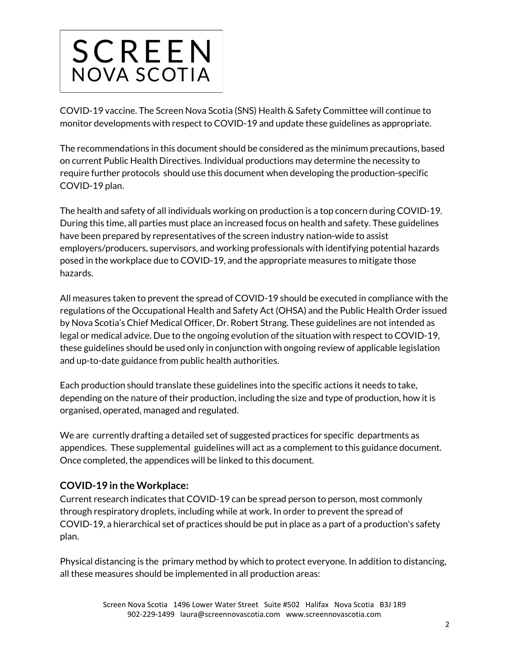

COVID-19 vaccine. The Screen Nova Scotia (SNS) Health & Safety Committee will continue to monitor developments with respect to COVID-19 and update these guidelines as appropriate.

The recommendations in this document should be considered as the minimum precautions, based on current Public Health Directives. Individual productions may determine the necessity to require further protocols should use this document when developing the production-specific COVID-19 plan.

The health and safety of all individuals working on production is a top concern during COVID-19. During this time, all parties must place an increased focus on health and safety. These guidelines have been prepared by representatives of the screen industry nation-wide to assist employers/producers, supervisors, and working professionals with identifying potential hazards posed in the workplace due to COVID-19, and the appropriate measures to mitigate those hazards.

All measures taken to prevent the spread of COVID-19 should be executed in compliance with the regulations of the Occupational Health and Safety Act (OHSA) and the Public Health Order issued by Nova Scotia's Chief Medical Officer, Dr. Robert Strang. These guidelines are not intended as legal or medical advice. Due to the ongoing evolution of the situation with respect to COVID-19, these guidelines should be used only in conjunction with ongoing review of applicable legislation and up-to-date guidance from public health authorities.

Each production should translate these guidelines into the specific actions it needs to take, depending on the nature of their production, including the size and type of production, how it is organised, operated, managed and regulated.

We are currently drafting a detailed set of suggested practices for specific departments as appendices. These supplemental guidelines will act as a complement to this guidance document. Once completed, the appendices will be linked to this document.

# **COVID-19 in the Workplace:**

Current research indicates that COVID-19 can be spread person to person, most commonly through respiratory droplets, including while at work. In order to prevent the spread of COVID-19, a hierarchical set of practices should be put in place as a part of a production's safety plan.

Physical distancing is the primary method by which to protect everyone. In addition to distancing, all these measures should be implemented in all production areas: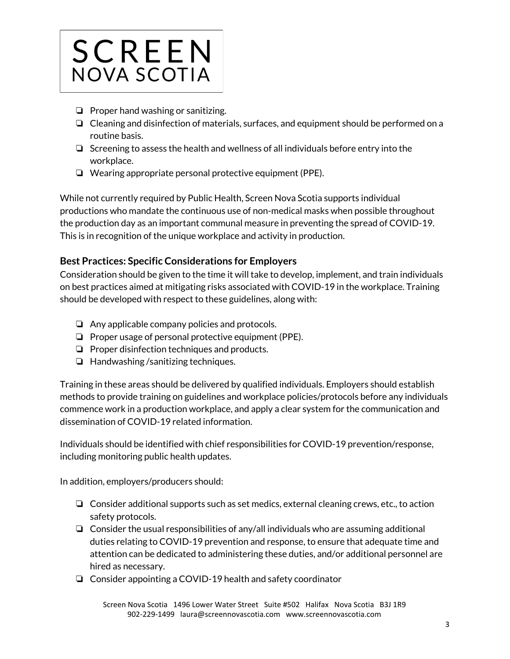

- ❏ Proper hand washing or sanitizing.
- ❏ Cleaning and disinfection of materials, surfaces, and equipment should be performed on a routine basis.
- ❏ Screening to assess the health and wellness of all individuals before entry into the workplace.
- ❏ Wearing appropriate personal protective equipment (PPE).

While not currently required by Public Health, Screen Nova Scotia supports individual productions who mandate the continuous use of non-medical masks when possible throughout the production day as an important communal measure in preventing the spread of COVID-19. This is in recognition of the unique workplace and activity in production.

# **Best Practices: Specific Considerations for Employers**

Consideration should be given to the time it will take to develop, implement, and train individuals on best practices aimed at mitigating risks associated with COVID-19 in the workplace. Training should be developed with respect to these guidelines, along with:

- ❏ Any applicable company policies and protocols.
- ❏ Proper usage of personal protective equipment (PPE).
- ❏ Proper disinfection techniques and products.
- ❏ Handwashing /sanitizing techniques.

Training in these areas should be delivered by qualified individuals. Employers should establish methods to provide training on guidelines and workplace policies/protocols before any individuals commence work in a production workplace, and apply a clear system for the communication and dissemination of COVID-19 related information.

Individuals should be identified with chief responsibilities for COVID-19 prevention/response, including monitoring public health updates.

In addition, employers/producers should:

- ❏ Consider additional supports such as set medics, external cleaning crews, etc., to action safety protocols.
- ❏ Consider the usual responsibilities of any/all individuals who are assuming additional duties relating to COVID-19 prevention and response, to ensure that adequate time and attention can be dedicated to administering these duties, and/or additional personnel are hired as necessary.
- ❏ Consider appointing a COVID-19 health and safety coordinator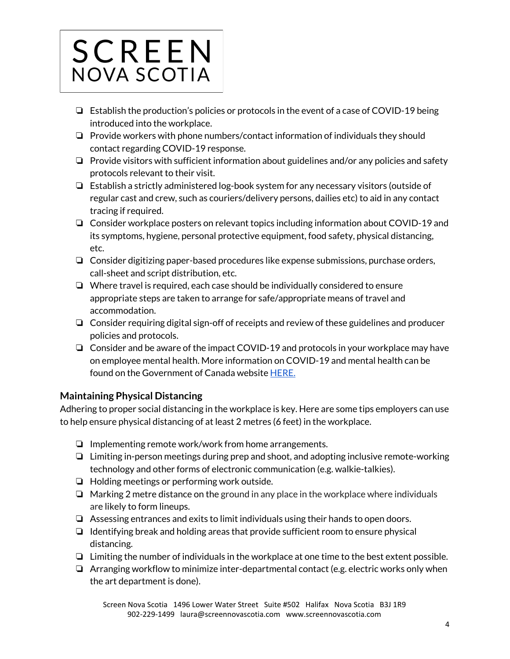

- ❏ Establish the production's policies or protocols in the event of a case of COVID-19 being introduced into the workplace.
- ❏ Provide workers with phone numbers/contact information of individuals they should contact regarding COVID-19 response.
- ❏ Provide visitors with sufficient information about guidelines and/or any policies and safety protocols relevant to their visit.
- ❏ Establish a strictly administered log-book system for any necessary visitors (outside of regular cast and crew, such as couriers/delivery persons, dailies etc) to aid in any contact tracing if required.
- ❏ Consider workplace posters on relevant topics including information about COVID-19 and its symptoms, hygiene, personal protective equipment, food safety, physical distancing, etc.
- ❏ Consider digitizing paper-based procedures like expense submissions, purchase orders, call-sheet and script distribution, etc.
- ❏ Where travel is required, each case should be individually considered to ensure appropriate steps are taken to arrange for safe/appropriate means of travel and accommodation.
- ❏ Consider requiring digital sign-off of receipts and review of these guidelines and producer policies and protocols.
- ❏ Consider and be aware of the impact COVID-19 and protocols in your workplace may have on employee mental health. More information on COVID-19 and mental health can be found on the Government of Canada website [HERE.](https://ca.portal.gs/)

# **Maintaining Physical Distancing**

Adhering to proper social distancing in the workplace is key. Here are some tips employers can use to help ensure physical distancing of at least 2 metres (6 feet) in the workplace.

- ❏ Implementing remote work/work from home arrangements.
- ❏ Limiting in-person meetings during prep and shoot, and adopting inclusive remote-working technology and other forms of electronic communication (e.g. walkie-talkies).
- ❏ Holding meetings or performing work outside.
- ❏ Marking 2 metre distance on the ground in any place in the workplace where individuals are likely to form lineups.
- ❏ Assessing entrances and exits to limit individuals using their hands to open doors.
- ❏ Identifying break and holding areas that provide sufficient room to ensure physical distancing.
- ❏ Limiting the number of individuals in the workplace at one time to the best extent possible.
- ❏ Arranging workflow to minimize inter-departmental contact (e.g. electric works only when the art department is done).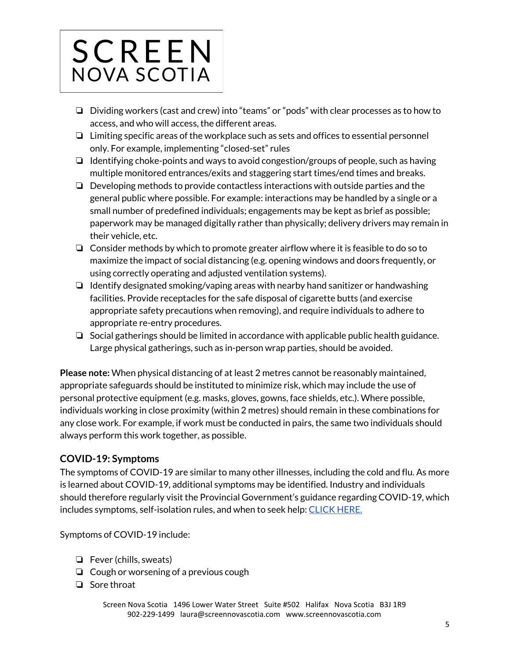

- ❏ Dividing workers (cast and crew) into "teams" or "pods" with clear processes as to how to access, and who will access, the different areas.
- ❏ Limiting specific areas of the workplace such as sets and offices to essential personnel only. For example, implementing "closed-set" rules
- ❏ Identifying choke-points and ways to avoid congestion/groups of people, such as having multiple monitored entrances/exits and staggering start times/end times and breaks.
- ❏ Developing methods to provide contactless interactions with outside parties and the general public where possible. For example: interactions may be handled by a single or a small number of predefined individuals; engagements may be kept as brief as possible; paperwork may be managed digitally rather than physically; delivery drivers may remain in their vehicle, etc.
- $\Box$  Consider methods by which to promote greater airflow where it is feasible to do so to maximize the impact of social distancing (e.g. opening windows and doors frequently, or using correctly operating and adjusted ventilation systems).
- ❏ Identify designated smoking/vaping areas with nearby hand sanitizer or handwashing facilities. Provide receptacles for the safe disposal of cigarette butts (and exercise appropriate safety precautions when removing), and require individuals to adhere to appropriate re-entry procedures.
- ❏ Social gatherings should be limited in accordance with applicable public health guidance. Large physical gatherings, such as in-person wrap parties, should be avoided.

**Please note:** When physical distancing of at least 2 metres cannot be reasonably maintained, appropriate safeguards should be instituted to minimize risk, which may include the use of personal protective equipment (e.g. masks, gloves, gowns, face shields, etc.). Where possible, individuals working in close proximity (within 2 metres) should remain in these combinations for any close work. For example, if work must be conducted in pairs, the same two individuals should always perform this work together, as possible.

# **COVID-19: Symptoms**

The symptoms of COVID-19 are similar to many other illnesses, including the cold and flu. As more is learned about COVID-19, additional symptoms may be identified. Industry and individuals should therefore regularly visit the Provincial Government's guidance regarding COVID-19, which includes symptoms, self-isolation rules, and when to seek help: [CLICK](https://novascotia.ca/coronavirus/when-to-seek-help/) HERE.

Symptoms of COVID-19 include:

- ❏ Fever (chills, sweats)
- ❏ Cough or worsening of a previous cough
- ❏ Sore throat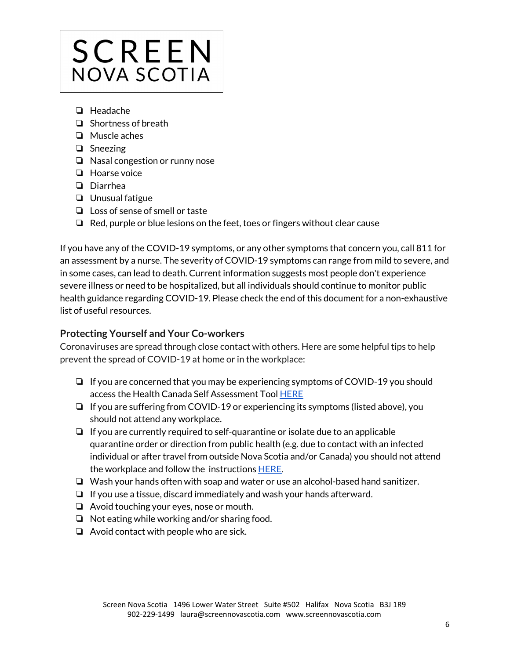

- ❏ Headache
- ❏ Shortness of breath
- ❏ Muscle aches
- ❏ Sneezing
- ❏ Nasal congestion or runny nose
- ❏ Hoarse voice
- ❏ Diarrhea
- ❏ Unusual fatigue
- ❏ Loss of sense of smell or taste
- ❏ Red, purple or blue lesions on the feet, toes or fingers without clear cause

If you have any of the COVID-19 symptoms, or any other symptoms that concern you, call 811 for an assessment by a nurse. The severity of COVID-19 symptoms can range from mild to severe, and in some cases, can lead to death. Current information suggests most people don't experience severe illness or need to be hospitalized, but all individuals should continue to monitor public health guidance regarding COVID-19. Please check the end of this document for a non-exhaustive list of useful resources.

#### **Protecting Yourself and Your Co-workers**

Coronaviruses are spread through close contact with others. Here are some helpful tips to help prevent the spread of COVID-19 at home or in the workplace:

- ❏ If you are concerned that you may be experiencing symptoms of COVID-19 you should access the Health Canada Self Assessment Tool [HERE](https://ca.thrive.health/covid19/en)
- ❏ If you are suffering from COVID-19 or experiencing its symptoms (listed above), you should not attend any workplace.
- ❏ If you are currently required to self-quarantine or isolate due to an applicable quarantine order or direction from public health (e.g. due to contact with an infected individual or after travel from outside Nova Scotia and/or Canada) you should not attend the workplace and follow the instructions [HERE](https://novascotia.ca/coronavirus/docs/Self-Isolation-Information-for-Travellers-EN.pdf).
- ❏ Wash your hands often with soap and water or use an alcohol-based hand sanitizer.
- ❏ If you use a tissue, discard immediately and wash your hands afterward.
- ❏ Avoid touching your eyes, nose or mouth.
- ❏ Not eating while working and/or sharing food.
- ❏ Avoid contact with people who are sick.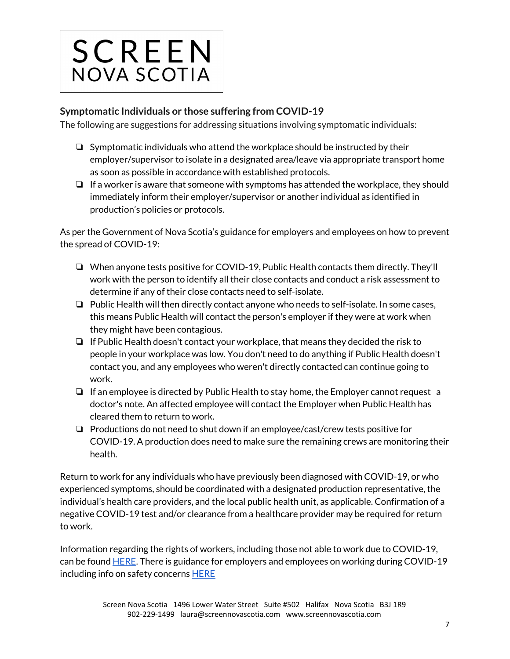

# **Symptomatic Individuals or those suffering from COVID-19**

The following are suggestions for addressing situations involving symptomatic individuals:

- ❏ Symptomatic individuals who attend the workplace should be instructed by their employer/supervisor to isolate in a designated area/leave via appropriate transport home as soon as possible in accordance with established protocols.
- ❏ If a worker is aware that someone with symptoms has attended the workplace, they should immediately inform their employer/supervisor or another individual as identified in production's policies or protocols.

As per the Government of Nova Scotia's guidance for employers and employees on how to prevent the spread of COVID-19:

- ❏ When anyone tests positive for COVID-19, Public Health contacts them directly. They'll work with the person to identify all their close contacts and conduct a risk assessment to determine if any of their close contacts need to self-isolate.
- ❏ Public Health will then directly contact anyone who needs to self-isolate. In some cases, this means Public Health will contact the person's employer if they were at work when they might have been contagious.
- ❏ If Public Health doesn't contact your workplace, that means they decided the risk to people in your workplace was low. You don't need to do anything if Public Health doesn't contact you, and any employees who weren't directly contacted can continue going to work.
- ❏ If an employee is directed by Public Health to stay home, the Employer cannot request a doctor's note. An affected employee will contact the Employer when Public Health has cleared them to return to work.
- ❏ Productions do not need to shut down if an employee/cast/crew tests positive for COVID-19. A production does need to make sure the remaining crews are monitoring their health.

Return to work for any individuals who have previously been diagnosed with COVID-19, or who experienced symptoms, should be coordinated with a designated production representative, the individual's health care providers, and the local public health unit, as applicable. Confirmation of a negative COVID-19 test and/or clearance from a healthcare provider may be required for return to work.

Information regarding the rights of workers, including those not able to work due to COVID-19, can be found **HERE**. There is guidance for employers and employees on working during COVID-19 including info on safety concerns **[HERE](https://novascotia.ca/coronavirus/working-during-covid-19/#employee-support)**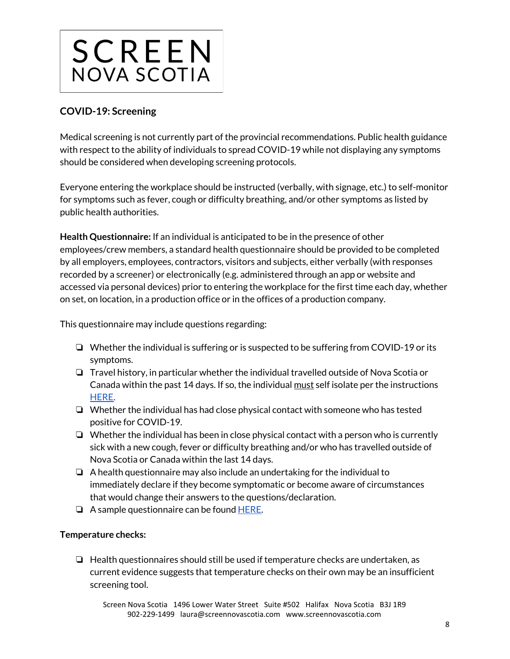

# **COVID-19: Screening**

Medical screening is not currently part of the provincial recommendations. Public health guidance with respect to the ability of individuals to spread COVID-19 while not displaying any symptoms should be considered when developing screening protocols.

Everyone entering the workplace should be instructed (verbally, with signage, etc.) to self-monitor for symptoms such as fever, cough or difficulty breathing, and/or other symptoms as listed by public health authorities.

**Health Questionnaire:** If an individual is anticipated to be in the presence of other employees/crew members, a standard health questionnaire should be provided to be completed by all employers, employees, contractors, visitors and subjects, either verbally (with responses recorded by a screener) or electronically (e.g. administered through an app or website and accessed via personal devices) prior to entering the workplace for the first time each day, whether on set, on location, in a production office or in the offices of a production company.

This questionnaire may include questions regarding:

- ❏ Whether the individual is suffering or is suspected to be suffering from COVID-19 or its symptoms.
- ❏ Travel history, in particular whether the individual travelled outside of Nova Scotia or Canada within the past 14 days. If so, the individual must self isolate per the instructions [HERE](https://novascotia.ca/coronavirus/docs/Self-Isolation-Information-for-Travellers-EN.pdf).
- ❏ Whether the individual has had close physical contact with someone who has tested positive for COVID-19.
- ❏ Whether the individual has been in close physical contact with a person who is currently sick with a new cough, fever or difficulty breathing and/or who has travelled outside of Nova Scotia or Canada within the last 14 days.
- ❏ A health questionnaire may also include an undertaking for the individual to immediately declare if they become symptomatic or become aware of circumstances that would change their answers to the questions/declaration.
- $\Box$  A sample questionnaire can be found [HERE.](https://screennovascotia.com/wp-content/uploads/2020/06/SNS-Sample-Questionnaire.pdf)

#### **Temperature checks:**

❏ Health questionnaires should still be used if temperature checks are undertaken, as current evidence suggests that temperature checks on their own may be an insufficient screening tool.

Screen Nova Scotia 1496 Lower Water Street Suite #502 Halifax Nova Scotia B3J 1R9 902-229-1499 laura@screennovascotia.com www.screennovascotia.com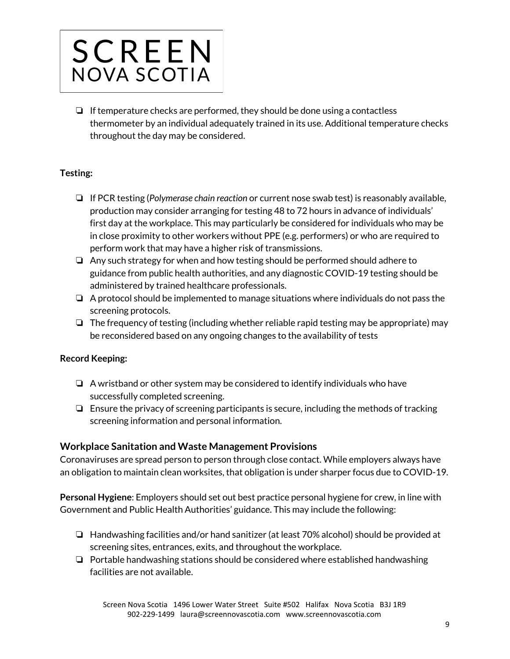

 $\Box$  If temperature checks are performed, they should be done using a contactless thermometer by an individual adequately trained in its use. Additional temperature checks throughout the day may be considered.

#### **Testing:**

- ❏ If PCR testing (*Polymerase chain reaction* or current nose swab test) is reasonably available, production may consider arranging for testing 48 to 72 hours in advance of individuals' first day at the workplace. This may particularly be considered for individuals who may be in close proximity to other workers without PPE (e.g. performers) or who are required to perform work that may have a higher risk of transmissions.
- ❏ Any such strategy for when and how testing should be performed should adhere to guidance from public health authorities, and any diagnostic COVID-19 testing should be administered by trained healthcare professionals.
- ❏ A protocol should be implemented to manage situations where individuals do not pass the screening protocols.
- ❏ The frequency of testing (including whether reliable rapid testing may be appropriate) may be reconsidered based on any ongoing changes to the availability of tests

#### **Record Keeping:**

- ❏ A wristband or other system may be considered to identify individuals who have successfully completed screening.
- ❏ Ensure the privacy of screening participants is secure, including the methods of tracking screening information and personal information.

#### **Workplace Sanitation and Waste Management Provisions**

Coronaviruses are spread person to person through close contact. While employers always have an obligation to maintain clean worksites, that obligation is under sharper focus due to COVID-19.

**Personal Hygiene**: Employers should set out best practice personal hygiene for crew, in line with Government and Public Health Authorities' guidance. This may include the following:

- ❏ Handwashing facilities and/or hand sanitizer (at least 70% alcohol) should be provided at screening sites, entrances, exits, and throughout the workplace.
- ❏ Portable handwashing stations should be considered where established handwashing facilities are not available.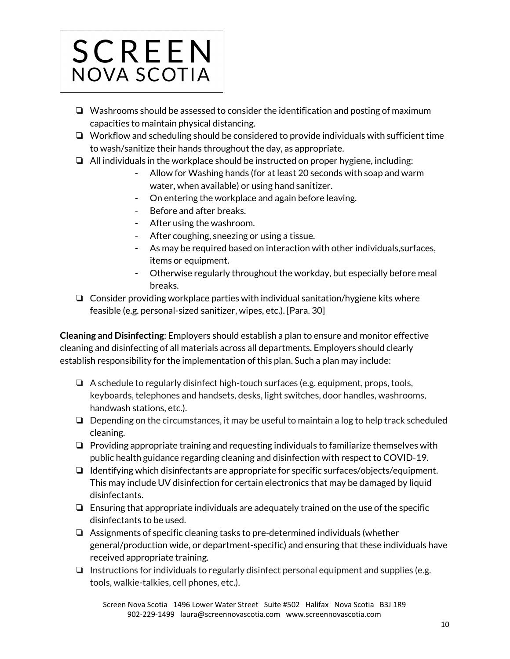

- ❏ Washrooms should be assessed to consider the identification and posting of maximum capacities to maintain physical distancing.
- ❏ Workflow and scheduling should be considered to provide individuals with sufficient time to wash/sanitize their hands throughout the day, as appropriate.
- ❏ All individuals in the workplace should be instructed on proper hygiene, including:
	- Allow for Washing hands (for at least 20 seconds with soap and warm water, when available) or using hand sanitizer.
	- On entering the workplace and again before leaving.
	- Before and after breaks.
	- After using the washroom.
	- After coughing, sneezing or using a tissue.
	- As may be required based on interaction with other individuals,surfaces, items or equipment.
	- Otherwise regularly throughout the workday, but especially before meal breaks.
- ❏ Consider providing workplace parties with individual sanitation/hygiene kits where feasible (e.g. personal-sized sanitizer, wipes, etc.). [Para. 30]

**Cleaning and Disinfecting**: Employers should establish a plan to ensure and monitor effective cleaning and disinfecting of all materials across all departments. Employers should clearly establish responsibility for the implementation of this plan. Such a plan may include:

- ❏ A schedule to regularly disinfect high-touch surfaces (e.g. equipment, props, tools, keyboards, telephones and handsets, desks, light switches, door handles, washrooms, handwash stations, etc.).
- ❏ Depending on the circumstances, it may be useful to maintain a log to help track scheduled cleaning.
- ❏ Providing appropriate training and requesting individuals to familiarize themselves with public health guidance regarding cleaning and disinfection with respect to COVID-19.
- ❏ Identifying which disinfectants are appropriate for specific surfaces/objects/equipment. This may include UV disinfection for certain electronics that may be damaged by liquid disinfectants.
- ❏ Ensuring that appropriate individuals are adequately trained on the use of the specific disinfectants to be used.
- ❏ Assignments of specific cleaning tasks to pre-determined individuals (whether general/production wide, or department-specific) and ensuring that these individuals have received appropriate training.
- ❏ Instructions for individuals to regularly disinfect personal equipment and supplies (e.g. tools, walkie-talkies, cell phones, etc.).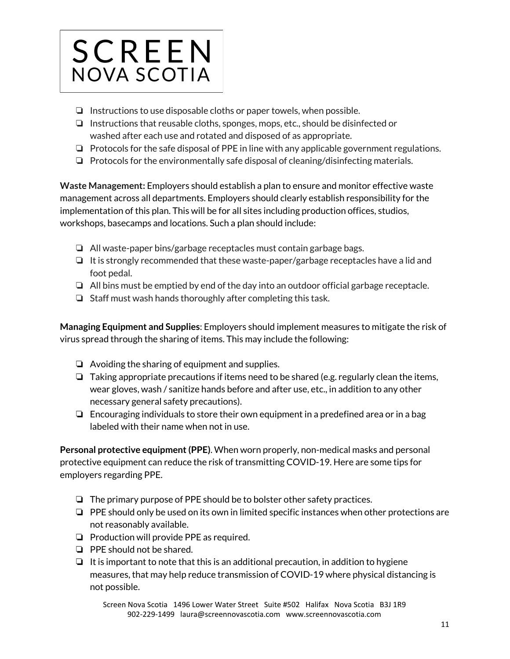

- ❏ Instructions to use disposable cloths or paper towels, when possible.
- ❏ Instructions that reusable cloths, sponges, mops, etc., should be disinfected or washed after each use and rotated and disposed of as appropriate.
- ❏ Protocols for the safe disposal of PPE in line with any applicable government regulations.
- ❏ Protocols for the environmentally safe disposal of cleaning/disinfecting materials.

**Waste Management:** Employers should establish a plan to ensure and monitor effective waste management across all departments. Employers should clearly establish responsibility for the implementation of this plan. This will be for all sites including production offices, studios, workshops, basecamps and locations. Such a plan should include:

- ❏ All waste-paper bins/garbage receptacles must contain garbage bags.
- ❏ It is strongly recommended that these waste-paper/garbage receptacles have a lid and foot pedal.
- ❏ All bins must be emptied by end of the day into an outdoor official garbage receptacle.
- ❏ Staff must wash hands thoroughly after completing this task.

**Managing Equipment and Supplies**: Employers should implement measures to mitigate the risk of virus spread through the sharing of items. This may include the following:

- ❏ Avoiding the sharing of equipment and supplies.
- ❏ Taking appropriate precautions if items need to be shared (e.g. regularly clean the items, wear gloves, wash / sanitize hands before and after use, etc., in addition to any other necessary general safety precautions).
- ❏ Encouraging individuals to store their own equipment in a predefined area or in a bag labeled with their name when not in use.

**Personal protective equipment(PPE)**. When worn properly, non-medical masks and personal protective equipment can reduce the risk of transmitting COVID-19. Here are some tips for employers regarding PPE.

- ❏ The primary purpose of PPE should be to bolster other safety practices.
- ❏ PPE should only be used on its own in limited specific instances when other protections are not reasonably available.
- ❏ Production will provide PPE as required.
- ❏ PPE should not be shared.
- ❏ It is important to note that this is an additional precaution, in addition to hygiene measures, that may help reduce transmission of COVID-19 where physical distancing is not possible.

Screen Nova Scotia 1496 Lower Water Street Suite #502 Halifax Nova Scotia B3J 1R9 902-229-1499 laura@screennovascotia.com www.screennovascotia.com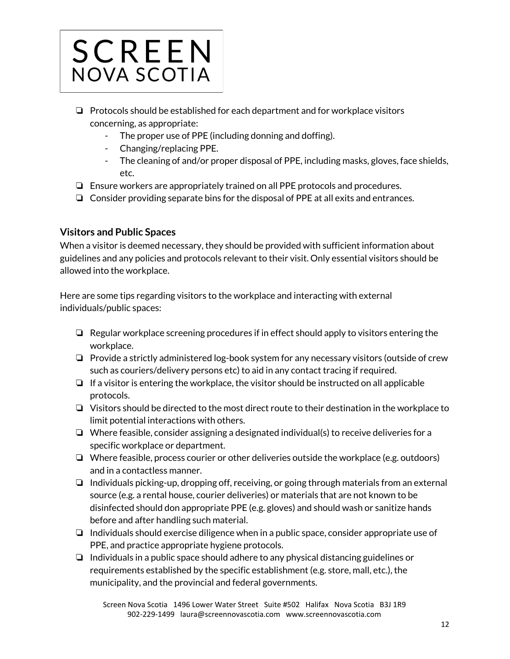

- ❏ Protocols should be established for each department and for workplace visitors concerning, as appropriate:
	- The proper use of PPE (including donning and doffing).
	- Changing/replacing PPE.
	- The cleaning of and/or proper disposal of PPE, including masks, gloves, face shields, etc.
- ❏ Ensure workers are appropriately trained on all PPE protocols and procedures.
- ❏ Consider providing separate bins for the disposal of PPE at all exits and entrances.

# **Visitors and Public Spaces**

When a visitor is deemed necessary, they should be provided with sufficient information about guidelines and any policies and protocols relevant to their visit. Only essential visitors should be allowed into the workplace.

Here are some tips regarding visitors to the workplace and interacting with external individuals/public spaces:

- ❏ Regular workplace screening procedures if in effect should apply to visitors entering the workplace.
- ❏ Provide a strictly administered log-book system for any necessary visitors (outside of crew such as couriers/delivery persons etc) to aid in any contact tracing if required.
- ❏ If a visitor is entering the workplace, the visitor should be instructed on all applicable protocols.
- ❏ Visitors should be directed to the most direct route to their destination in the workplace to limit potential interactions with others.
- ❏ Where feasible, consider assigning a designated individual(s) to receive deliveries for a specific workplace or department.
- ❏ Where feasible, process courier or other deliveries outside the workplace (e.g. outdoors) and in a contactless manner.
- ❏ Individuals picking-up, dropping off, receiving, or going through materials from an external source (e.g. a rental house, courier deliveries) or materials that are not known to be disinfected should don appropriate PPE (e.g. gloves) and should wash or sanitize hands before and after handling such material.
- ❏ Individuals should exercise diligence when in a public space, consider appropriate use of PPE, and practice appropriate hygiene protocols.
- ❏ Individuals in a public space should adhere to any physical distancing guidelines or requirements established by the specific establishment (e.g. store, mall, etc.), the municipality, and the provincial and federal governments.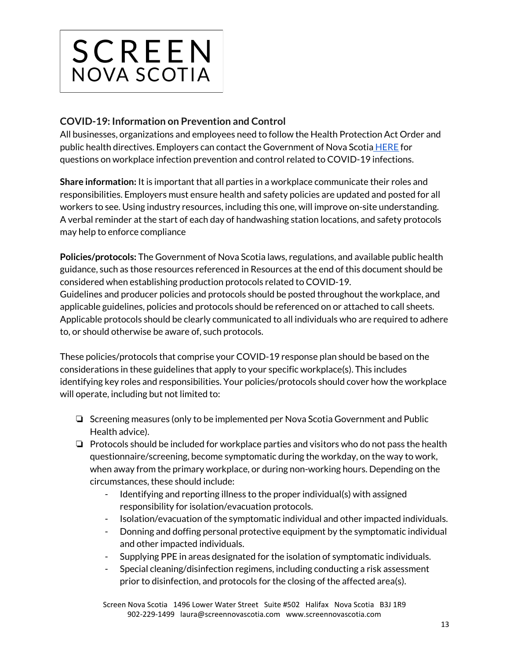

# **COVID-19: Information on Prevention and Control**

All businesses, organizations and employees need to follow the Health Protection Act Order and public health directives. Employers can contact the Government of Nova Scotia **[HERE](https://novascotia.ca/reopening-nova-scotia/#not-required-to-close)** for questions on workplace infection prevention and control related to COVID-19 infections.

**Share information:** It is important that all parties in a workplace communicate their roles and responsibilities. Employers must ensure health and safety policies are updated and posted for all workers to see. Using industry resources, including this one, will improve on-site understanding. A verbal reminder at the start of each day of handwashing station locations, and safety protocols may help to enforce compliance

**Policies/protocols:** The Government of Nova Scotia laws, regulations, and available public health guidance, such as those resources referenced in Resources at the end of this document should be considered when establishing production protocols related to COVID-19. Guidelines and producer policies and protocols should be posted throughout the workplace, and applicable guidelines, policies and protocols should be referenced on or attached to call sheets. Applicable protocols should be clearly communicated to all individuals who are required to adhere

to, or should otherwise be aware of, such protocols.

These policies/protocols that comprise your COVID-19 response plan should be based on the considerations in these guidelines that apply to your specific workplace(s). This includes identifying key roles and responsibilities. Your policies/protocols should cover how the workplace will operate, including but not limited to:

- ❏ Screening measures (only to be implemented per Nova Scotia Government and Public Health advice).
- ❏ Protocols should be included for workplace parties and visitors who do not pass the health questionnaire/screening, become symptomatic during the workday, on the way to work, when away from the primary workplace, or during non-working hours. Depending on the circumstances, these should include:
	- Identifying and reporting illness to the proper individual(s) with assigned responsibility for isolation/evacuation protocols.
	- Isolation/evacuation of the symptomatic individual and other impacted individuals.
	- Donning and doffing personal protective equipment by the symptomatic individual and other impacted individuals.
	- Supplying PPE in areas designated for the isolation of symptomatic individuals.
	- Special cleaning/disinfection regimens, including conducting a risk assessment prior to disinfection, and protocols for the closing of the affected area(s).

Screen Nova Scotia 1496 Lower Water Street Suite #502 Halifax Nova Scotia B3J 1R9 902-229-1499 laura@screennovascotia.com www.screennovascotia.com